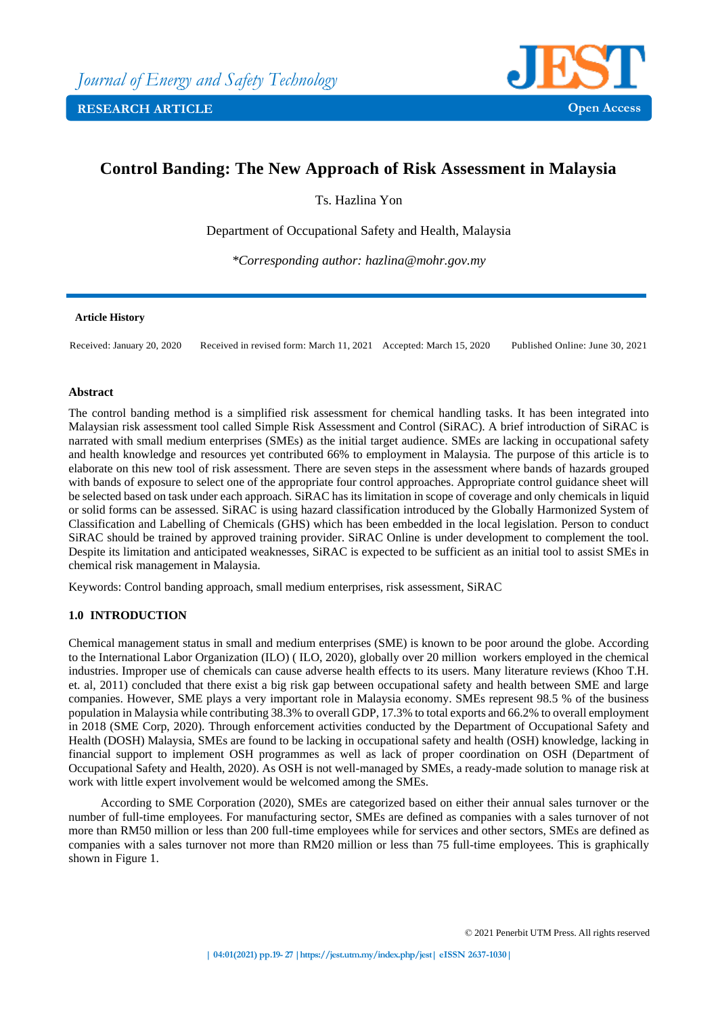

# **Control Banding: The New Approach of Risk Assessment in Malaysia**

Ts. Hazlina Yon

Department of Occupational Safety and Health, Malaysia

*\*Corresponding author: hazlina@mohr.gov.my*

#### **Article History**

Received: January 20, 2020 Received in revised form: March 11, 2021 Accepted: March 15, 2020 Published Online: June 30, 2021

# **Abstract**

The control banding method is a simplified risk assessment for chemical handling tasks. It has been integrated into Malaysian risk assessment tool called Simple Risk Assessment and Control (SiRAC). A brief introduction of SiRAC is narrated with small medium enterprises (SMEs) as the initial target audience. SMEs are lacking in occupational safety and health knowledge and resources yet contributed 66% to employment in Malaysia. The purpose of this article is to elaborate on this new tool of risk assessment. There are seven steps in the assessment where bands of hazards grouped with bands of exposure to select one of the appropriate four control approaches. Appropriate control guidance sheet will be selected based on task under each approach. SiRAC has its limitation in scope of coverage and only chemicals in liquid or solid forms can be assessed. SiRAC is using hazard classification introduced by the Globally Harmonized System of Classification and Labelling of Chemicals (GHS) which has been embedded in the local legislation. Person to conduct SiRAC should be trained by approved training provider. SiRAC Online is under development to complement the tool. Despite its limitation and anticipated weaknesses, SiRAC is expected to be sufficient as an initial tool to assist SMEs in chemical risk management in Malaysia.

Keywords: Control banding approach, small medium enterprises, risk assessment, SiRAC

# **1.0 INTRODUCTION**

Chemical management status in small and medium enterprises (SME) is known to be poor around the globe. According to the International Labor Organization (ILO) ( ILO, 2020), globally over 20 million workers employed in the chemical industries. Improper use of chemicals can cause adverse health effects to its users. Many literature reviews (Khoo T.H. et. al, 2011) concluded that there exist a big risk gap between occupational safety and health between SME and large companies. However, SME plays a very important role in Malaysia economy. SMEs represent 98.5 % of the business population in Malaysia while contributing 38.3% to overall GDP, 17.3% to total exports and 66.2% to overall employment in 2018 (SME Corp, 2020). Through enforcement activities conducted by the Department of Occupational Safety and Health (DOSH) Malaysia, SMEs are found to be lacking in occupational safety and health (OSH) knowledge, lacking in financial support to implement OSH programmes as well as lack of proper coordination on OSH (Department of Occupational Safety and Health, 2020). As OSH is not well-managed by SMEs, a ready-made solution to manage risk at work with little expert involvement would be welcomed among the SMEs.

According to SME Corporation (2020), SMEs are categorized based on either their annual sales turnover or the number of full-time employees. For manufacturing sector, SMEs are defined as companies with a sales turnover of not more than RM50 million or less than 200 full-time employees while for services and other sectors, SMEs are defined as companies with a sales turnover not more than RM20 million or less than 75 full-time employees. This is graphically shown in Figure 1.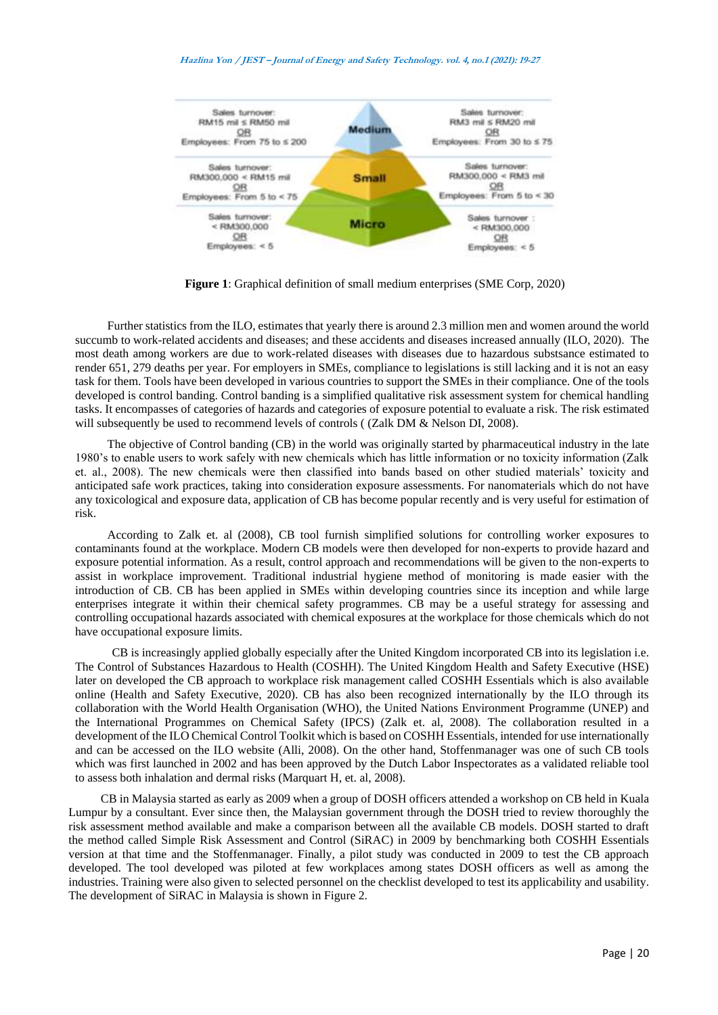#### **Hazlina Yon / JEST – Journal of Energy and Safety Technology. vol. 4, no.1 (2021): 19-27**



**Figure 1**: Graphical definition of small medium enterprises (SME Corp, 2020)

Further statistics from the ILO, estimates that yearly there is around 2.3 million men and women around the world succumb to work-related accidents and diseases; and these accidents and diseases increased annually (ILO, 2020). The most death among workers are due to work-related diseases with diseases due to hazardous substsance estimated to render 651, 279 deaths per year. For employers in SMEs, compliance to legislations is still lacking and it is not an easy task for them. Tools have been developed in various countries to support the SMEs in their compliance. One of the tools developed is control banding. Control banding is a simplified qualitative risk assessment system for chemical handling tasks. It encompasses of categories of hazards and categories of exposure potential to evaluate a risk. The risk estimated will subsequently be used to recommend levels of controls ((Zalk DM & Nelson DI, 2008).

The objective of Control banding (CB) in the world was originally started by pharmaceutical industry in the late 1980's to enable users to work safely with new chemicals which has little information or no toxicity information (Zalk et. al., 2008). The new chemicals were then classified into bands based on other studied materials' toxicity and anticipated safe work practices, taking into consideration exposure assessments. For nanomaterials which do not have any toxicological and exposure data, application of CB has become popular recently and is very useful for estimation of risk.

According to Zalk et. al (2008), CB tool furnish simplified solutions for controlling worker exposures to contaminants found at the workplace. Modern CB models were then developed for non-experts to provide hazard and exposure potential information. As a result, control approach and recommendations will be given to the non-experts to assist in workplace improvement. Traditional industrial hygiene method of monitoring is made easier with the introduction of CB. CB has been applied in SMEs within developing countries since its inception and while large enterprises integrate it within their chemical safety programmes. CB may be a useful strategy for assessing and controlling occupational hazards associated with chemical exposures at the workplace for those chemicals which do not have occupational exposure limits.

CB is increasingly applied globally especially after the United Kingdom incorporated CB into its legislation i.e. The Control of Substances Hazardous to Health (COSHH). The United Kingdom Health and Safety Executive (HSE) later on developed the CB approach to workplace risk management called COSHH Essentials which is also available online (Health and Safety Executive, 2020). CB has also been recognized internationally by the ILO through its collaboration with the World Health Organisation (WHO), the United Nations Environment Programme (UNEP) and the International Programmes on Chemical Safety (IPCS) (Zalk et. al, 2008). The collaboration resulted in a development of the ILO Chemical Control Toolkit which is based on COSHH Essentials, intended for use internationally and can be accessed on the ILO website (Alli, 2008). On the other hand, Stoffenmanager was one of such CB tools which was first launched in 2002 and has been approved by the Dutch Labor Inspectorates as a validated reliable tool to assess both inhalation and dermal risks (Marquart H, et. al, 2008).

CB in Malaysia started as early as 2009 when a group of DOSH officers attended a workshop on CB held in Kuala Lumpur by a consultant. Ever since then, the Malaysian government through the DOSH tried to review thoroughly the risk assessment method available and make a comparison between all the available CB models. DOSH started to draft the method called Simple Risk Assessment and Control (SiRAC) in 2009 by benchmarking both COSHH Essentials version at that time and the Stoffenmanager. Finally, a pilot study was conducted in 2009 to test the CB approach developed. The tool developed was piloted at few workplaces among states DOSH officers as well as among the industries. Training were also given to selected personnel on the checklist developed to test its applicability and usability. The development of SiRAC in Malaysia is shown in Figure 2.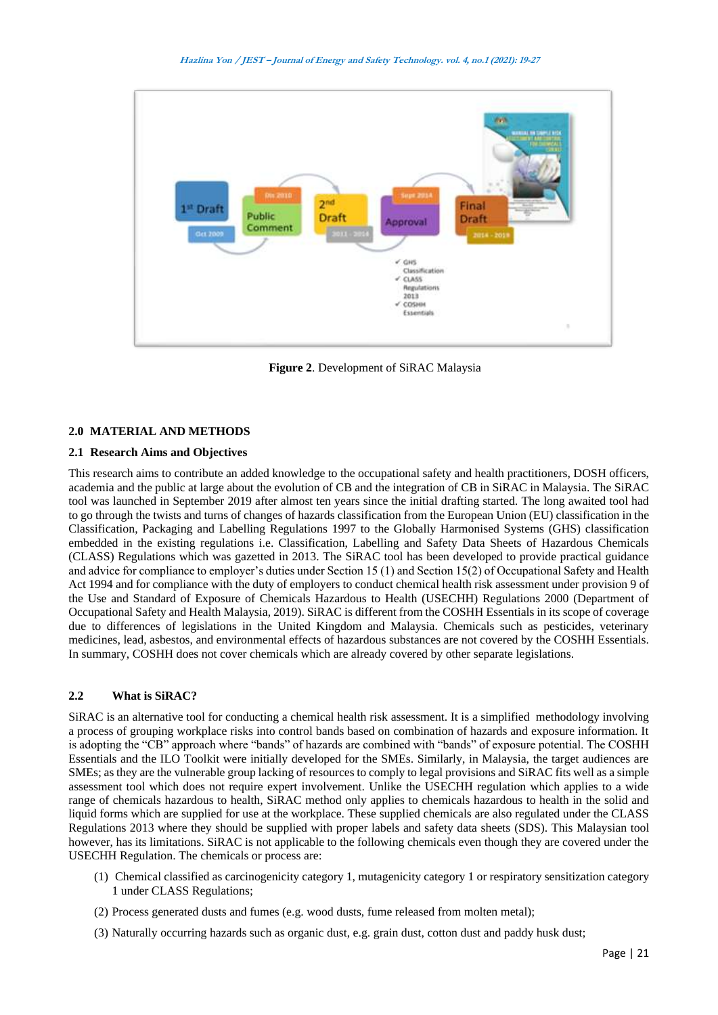

**Figure 2**. Development of SiRAC Malaysia

## **2.0 MATERIAL AND METHODS**

# **2.1 Research Aims and Objectives**

This research aims to contribute an added knowledge to the occupational safety and health practitioners, DOSH officers, academia and the public at large about the evolution of CB and the integration of CB in SiRAC in Malaysia. The SiRAC tool was launched in September 2019 after almost ten years since the initial drafting started. The long awaited tool had to go through the twists and turns of changes of hazards classification from the European Union (EU) classification in the Classification, Packaging and Labelling Regulations 1997 to the Globally Harmonised Systems (GHS) classification embedded in the existing regulations i.e. Classification, Labelling and Safety Data Sheets of Hazardous Chemicals (CLASS) Regulations which was gazetted in 2013. The SiRAC tool has been developed to provide practical guidance and advice for compliance to employer's duties under Section 15 (1) and Section 15(2) of Occupational Safety and Health Act 1994 and for compliance with the duty of employers to conduct chemical health risk assessment under provision 9 of the Use and Standard of Exposure of Chemicals Hazardous to Health (USECHH) Regulations 2000 (Department of Occupational Safety and Health Malaysia, 2019). SiRAC is different from the COSHH Essentials in its scope of coverage due to differences of legislations in the United Kingdom and Malaysia. Chemicals such as pesticides, veterinary medicines, lead, asbestos, and environmental effects of hazardous substances are not covered by the COSHH Essentials. In summary, COSHH does not cover chemicals which are already covered by other separate legislations.

## **2.2 What is SiRAC?**

SiRAC is an alternative tool for conducting a chemical health risk assessment. It is a simplified methodology involving a process of grouping workplace risks into control bands based on combination of hazards and exposure information. It is adopting the "CB" approach where "bands" of hazards are combined with "bands" of exposure potential. The COSHH Essentials and the ILO Toolkit were initially developed for the SMEs. Similarly, in Malaysia, the target audiences are SMEs; as they are the vulnerable group lacking of resources to comply to legal provisions and SiRAC fits well as a simple assessment tool which does not require expert involvement. Unlike the USECHH regulation which applies to a wide range of chemicals hazardous to health, SiRAC method only applies to chemicals hazardous to health in the solid and liquid forms which are supplied for use at the workplace. These supplied chemicals are also regulated under the CLASS Regulations 2013 where they should be supplied with proper labels and safety data sheets (SDS). This Malaysian tool however, has its limitations. SiRAC is not applicable to the following chemicals even though they are covered under the USECHH Regulation. The chemicals or process are:

- (1) Chemical classified as carcinogenicity category 1, mutagenicity category 1 or respiratory sensitization category 1 under CLASS Regulations;
- (2) Process generated dusts and fumes (e.g. wood dusts, fume released from molten metal);
- (3) Naturally occurring hazards such as organic dust, e.g. grain dust, cotton dust and paddy husk dust;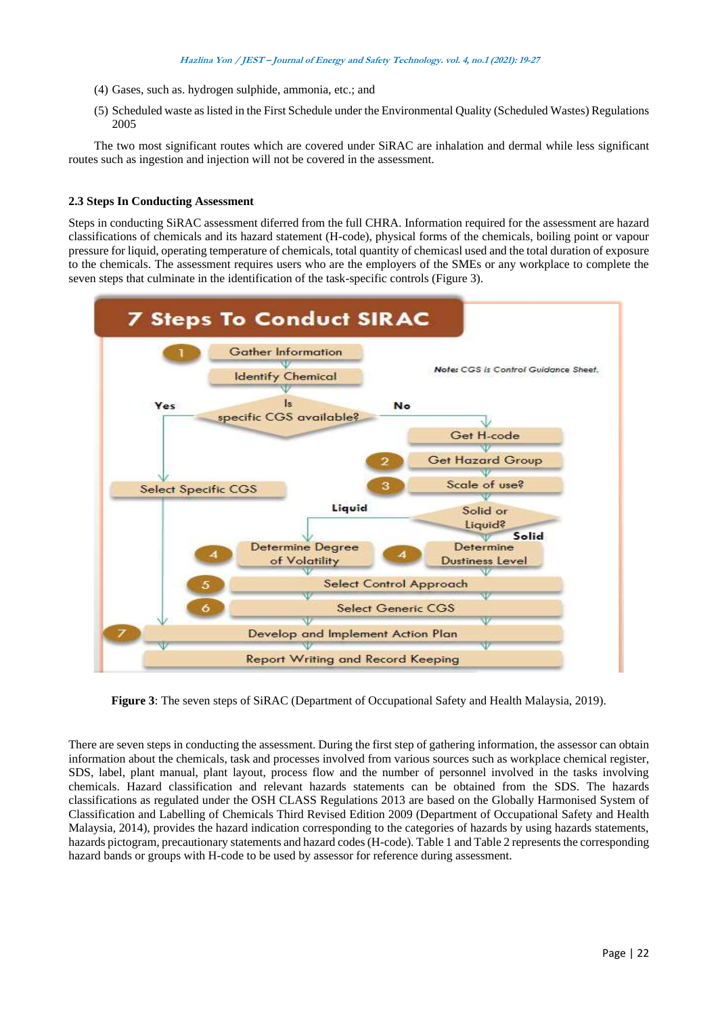- (4) Gases, such as. hydrogen sulphide, ammonia, etc.; and
- (5) Scheduled waste as listed in the First Schedule under the Environmental Quality (Scheduled Wastes) Regulations 2005

The two most significant routes which are covered under SiRAC are inhalation and dermal while less significant routes such as ingestion and injection will not be covered in the assessment.

## **2.3 Steps In Conducting Assessment**

Steps in conducting SiRAC assessment diferred from the full CHRA. Information required for the assessment are hazard classifications of chemicals and its hazard statement (H-code), physical forms of the chemicals, boiling point or vapour pressure for liquid, operating temperature of chemicals, total quantity of chemicasl used and the total duration of exposure to the chemicals. The assessment requires users who are the employers of the SMEs or any workplace to complete the seven steps that culminate in the identification of the task-specific controls (Figure 3).



**Figure 3**: The seven steps of SiRAC (Department of Occupational Safety and Health Malaysia, 2019).

There are seven steps in conducting the assessment. During the first step of gathering information, the assessor can obtain information about the chemicals, task and processes involved from various sources such as workplace chemical register, SDS, label, plant manual, plant layout, process flow and the number of personnel involved in the tasks involving chemicals. Hazard classification and relevant hazards statements can be obtained from the SDS. The hazards classifications as regulated under the OSH CLASS Regulations 2013 are based on the Globally Harmonised System of Classification and Labelling of Chemicals Third Revised Edition 2009 (Department of Occupational Safety and Health Malaysia, 2014), provides the hazard indication corresponding to the categories of hazards by using hazards statements, hazards pictogram, precautionary statements and hazard codes (H-code). Table 1 and Table 2 represents the corresponding hazard bands or groups with H-code to be used by assessor for reference during assessment.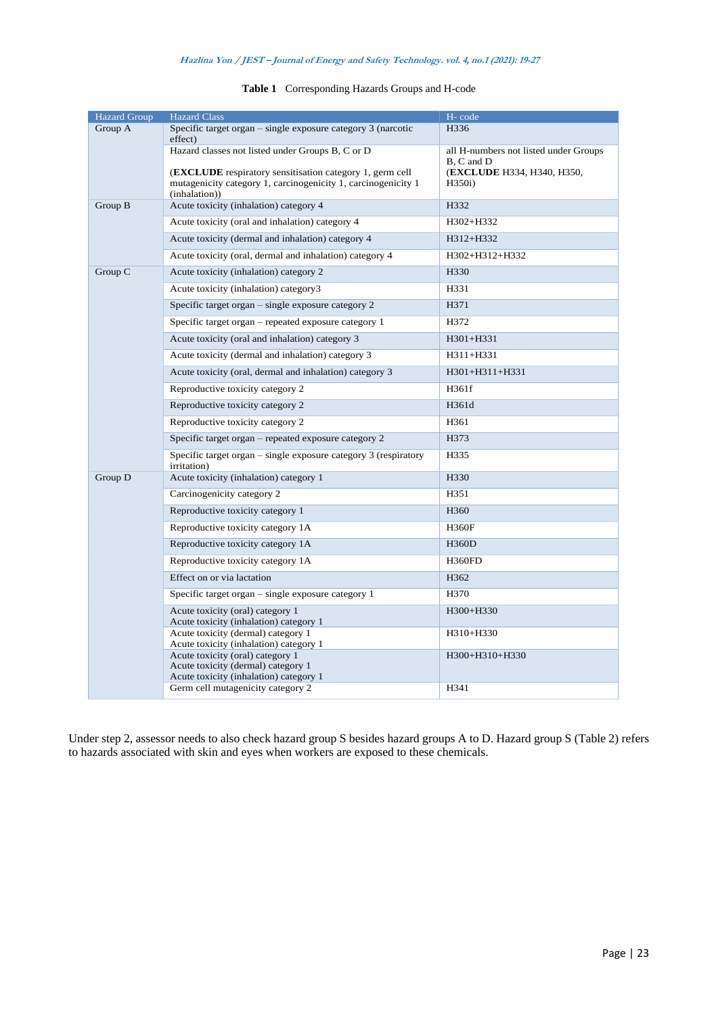## **Hazlina Yon / JEST – Journal of Energy and Safety Technology. vol. 4, no.1 (2021): 19-27**

| <b>Hazard Group</b> | <b>Hazard Class</b>                                                                                                                               | H-code                                             |
|---------------------|---------------------------------------------------------------------------------------------------------------------------------------------------|----------------------------------------------------|
| Group A             | Specific target organ - single exposure category 3 (narcotic<br>effect)                                                                           | H336                                               |
|                     | Hazard classes not listed under Groups B, C or D                                                                                                  | all H-numbers not listed under Groups              |
|                     | <b>(EXCLUDE</b> respiratory sensitisation category 1, germ cell<br>mutagenicity category 1, carcinogenicity 1, carcinogenicity 1<br>(inhalation)) | B, C and D<br>(EXCLUDE H334, H340, H350,<br>H350i) |
| Group B             | Acute toxicity (inhalation) category 4                                                                                                            | H332                                               |
|                     | Acute toxicity (oral and inhalation) category 4                                                                                                   | H302+H332                                          |
|                     | Acute toxicity (dermal and inhalation) category 4                                                                                                 | H312+H332                                          |
|                     | Acute toxicity (oral, dermal and inhalation) category 4                                                                                           | H302+H312+H332                                     |
| Group C             | Acute toxicity (inhalation) category 2                                                                                                            | H330                                               |
|                     | Acute toxicity (inhalation) category3                                                                                                             | H331                                               |
|                     | Specific target organ - single exposure category 2                                                                                                | H371                                               |
|                     | Specific target organ – repeated exposure category 1                                                                                              | H372                                               |
|                     | Acute toxicity (oral and inhalation) category 3                                                                                                   | $H301 + H331$                                      |
|                     | Acute toxicity (dermal and inhalation) category 3                                                                                                 | H311+H331                                          |
|                     | Acute toxicity (oral, dermal and inhalation) category 3                                                                                           | H301+H311+H331                                     |
|                     | Reproductive toxicity category 2                                                                                                                  | H361f                                              |
|                     | Reproductive toxicity category 2                                                                                                                  | H361d                                              |
|                     | Reproductive toxicity category 2                                                                                                                  | H361                                               |
|                     | Specific target organ – repeated exposure category 2                                                                                              | H373                                               |
|                     | Specific target organ $-$ single exposure category 3 (respiratory<br>irritation)                                                                  | H335                                               |
| Group D             | Acute toxicity (inhalation) category 1                                                                                                            | H330                                               |
|                     | Carcinogenicity category 2                                                                                                                        | H351                                               |
|                     | Reproductive toxicity category 1                                                                                                                  | H <sub>360</sub>                                   |
|                     | Reproductive toxicity category 1A                                                                                                                 | <b>H360F</b>                                       |
|                     | Reproductive toxicity category 1A                                                                                                                 | <b>H360D</b>                                       |
|                     | Reproductive toxicity category 1A                                                                                                                 | <b>H360FD</b>                                      |
|                     | Effect on or via lactation                                                                                                                        | H362                                               |
|                     | Specific target organ $-$ single exposure category 1                                                                                              | H370                                               |
|                     | Acute toxicity (oral) category 1<br>Acute toxicity (inhalation) category 1                                                                        | H300+H330                                          |
|                     | Acute toxicity (dermal) category 1<br>Acute toxicity (inhalation) category 1                                                                      | H310+H330                                          |
|                     | Acute toxicity (oral) category 1<br>Acute toxicity (dermal) category 1<br>Acute toxicity (inhalation) category 1                                  | H300+H310+H330                                     |
|                     | Germ cell mutagenicity category 2                                                                                                                 | H341                                               |
|                     |                                                                                                                                                   |                                                    |

# **Table 1** Corresponding Hazards Groups and H-code

Under step 2, assessor needs to also check hazard group S besides hazard groups A to D. Hazard group S (Table 2) refers to hazards associated with skin and eyes when workers are exposed to these chemicals.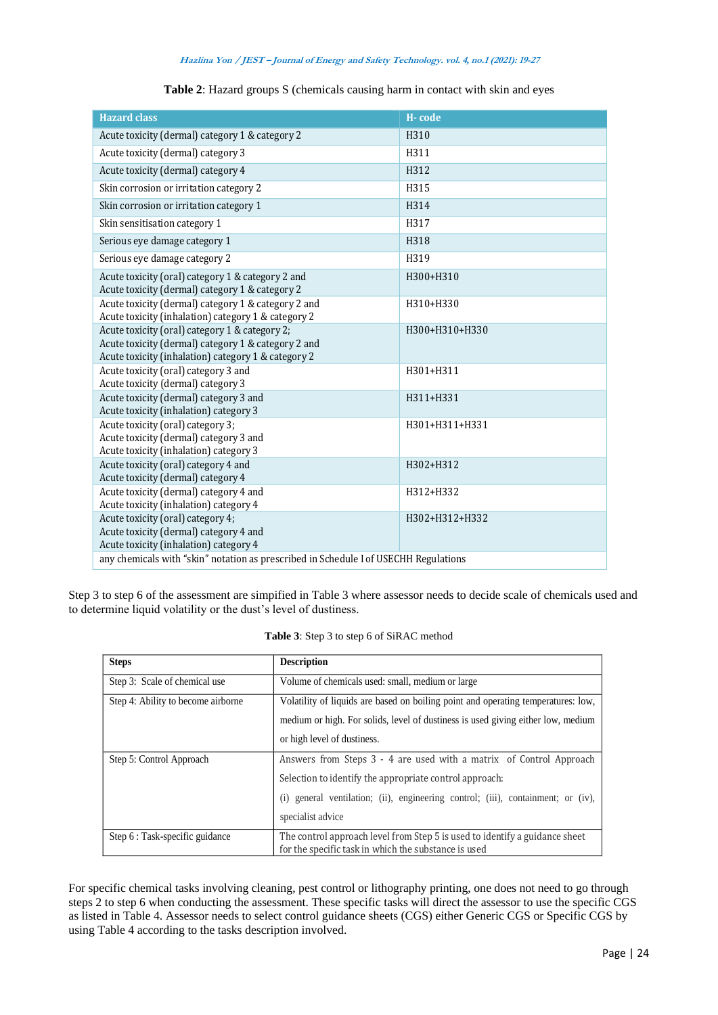|                                                                                             |                                                         | H-code                                                                                                                                                                                                                                                                                     |
|---------------------------------------------------------------------------------------------|---------------------------------------------------------|--------------------------------------------------------------------------------------------------------------------------------------------------------------------------------------------------------------------------------------------------------------------------------------------|
| Acute toxicity (dermal) category 1 & category 2                                             |                                                         | H310                                                                                                                                                                                                                                                                                       |
| Acute toxicity (dermal) category 3                                                          |                                                         | H311                                                                                                                                                                                                                                                                                       |
| Acute toxicity (dermal) category 4                                                          | H312                                                    |                                                                                                                                                                                                                                                                                            |
| Skin corrosion or irritation category 2                                                     | H315                                                    |                                                                                                                                                                                                                                                                                            |
| Skin corrosion or irritation category 1                                                     | H314                                                    |                                                                                                                                                                                                                                                                                            |
| Skin sensitisation category 1                                                               | H317                                                    |                                                                                                                                                                                                                                                                                            |
| Serious eye damage category 1                                                               | H318                                                    |                                                                                                                                                                                                                                                                                            |
| Serious eye damage category 2                                                               | H319                                                    |                                                                                                                                                                                                                                                                                            |
| Acute toxicity (oral) category 1 & category 2 and                                           | H300+H310                                               |                                                                                                                                                                                                                                                                                            |
| Acute toxicity (dermal) category 1 & category 2                                             |                                                         |                                                                                                                                                                                                                                                                                            |
| Acute toxicity (dermal) category 1 & category 2 and                                         |                                                         | H310+H330                                                                                                                                                                                                                                                                                  |
| Acute toxicity (inhalation) category 1 & category 2                                         |                                                         |                                                                                                                                                                                                                                                                                            |
| Acute toxicity (oral) category 1 & category 2;                                              | H300+H310+H330                                          |                                                                                                                                                                                                                                                                                            |
| Acute toxicity (dermal) category 1 & category 2 and                                         |                                                         |                                                                                                                                                                                                                                                                                            |
| Acute toxicity (inhalation) category 1 & category 2<br>Acute toxicity (oral) category 3 and |                                                         | H301+H311                                                                                                                                                                                                                                                                                  |
| Acute toxicity (dermal) category 3                                                          |                                                         |                                                                                                                                                                                                                                                                                            |
| Acute toxicity (dermal) category 3 and                                                      |                                                         | H311+H331                                                                                                                                                                                                                                                                                  |
| Acute toxicity (inhalation) category 3                                                      |                                                         |                                                                                                                                                                                                                                                                                            |
| Acute toxicity (oral) category 3;<br>Acute toxicity (dermal) category 3 and                 |                                                         | H301+H311+H331                                                                                                                                                                                                                                                                             |
| Acute toxicity (inhalation) category 3                                                      |                                                         |                                                                                                                                                                                                                                                                                            |
| Acute toxicity (oral) category 4 and                                                        |                                                         | H302+H312                                                                                                                                                                                                                                                                                  |
| Acute toxicity (dermal) category 4                                                          |                                                         |                                                                                                                                                                                                                                                                                            |
|                                                                                             |                                                         |                                                                                                                                                                                                                                                                                            |
| Acute toxicity (dermal) category 4 and                                                      |                                                         | H312+H332                                                                                                                                                                                                                                                                                  |
| Acute toxicity (inhalation) category 4                                                      |                                                         |                                                                                                                                                                                                                                                                                            |
| Acute toxicity (oral) category 4;<br>Acute toxicity (dermal) category 4 and                 |                                                         | H302+H312+H332                                                                                                                                                                                                                                                                             |
| Acute toxicity (inhalation) category 4                                                      |                                                         |                                                                                                                                                                                                                                                                                            |
| any chemicals with "skin" notation as prescribed in Schedule I of USECHH Regulations        |                                                         |                                                                                                                                                                                                                                                                                            |
| to determine liquid volatility or the dust's level of dustiness.                            | Table 3: Step 3 to step 6 of SiRAC method               |                                                                                                                                                                                                                                                                                            |
| <b>Steps</b>                                                                                | <b>Description</b>                                      |                                                                                                                                                                                                                                                                                            |
| Step 3: Scale of chemical use                                                               | Volume of chemicals used: small, medium or large        |                                                                                                                                                                                                                                                                                            |
| Step 4: Ability to become airborne                                                          |                                                         |                                                                                                                                                                                                                                                                                            |
|                                                                                             |                                                         |                                                                                                                                                                                                                                                                                            |
|                                                                                             |                                                         |                                                                                                                                                                                                                                                                                            |
|                                                                                             | or high level of dustiness.                             | Step 3 to step 6 of the assessment are simpified in Table 3 where assessor needs to decide scale of chemicals use<br>Volatility of liquids are based on boiling point and operating temperatures: low,<br>medium or high. For solids, level of dustiness is used giving either low, medium |
| Step 5: Control Approach                                                                    |                                                         | Answers from Steps 3 - 4 are used with a matrix of Control Approach                                                                                                                                                                                                                        |
|                                                                                             | Selection to identify the appropriate control approach: |                                                                                                                                                                                                                                                                                            |
|                                                                                             |                                                         | (i) general ventilation; (ii), engineering control; (iii), containment; or (iv),                                                                                                                                                                                                           |
| Step 6 : Task-specific guidance                                                             | specialist advice                                       | The control approach level from Step 5 is used to identify a guidance sheet                                                                                                                                                                                                                |

**Table 2**: Hazard groups S (chemicals causing harm in contact with skin and eyes

Step 3 to step 6 of the assessment are simpified in Table 3 where assessor needs to decide scale of chemicals used and to determine liquid volatility or the dust's level of dustiness.

| <b>Steps</b>                       | <b>Description</b>                                                                                                                  |
|------------------------------------|-------------------------------------------------------------------------------------------------------------------------------------|
| Step 3: Scale of chemical use      | Volume of chemicals used: small, medium or large                                                                                    |
| Step 4: Ability to become airborne | Volatility of liquids are based on boiling point and operating temperatures: low,                                                   |
|                                    | medium or high. For solids, level of dustiness is used giving either low, medium                                                    |
|                                    | or high level of dustiness.                                                                                                         |
| Step 5: Control Approach           | Answers from Steps 3 - 4 are used with a matrix of Control Approach                                                                 |
|                                    | Selection to identify the appropriate control approach:                                                                             |
|                                    | (i) general ventilation; (ii), engineering control; (iii), containment; or (iv),                                                    |
|                                    | specialist advice                                                                                                                   |
| Step 6 : Task-specific guidance    | The control approach level from Step 5 is used to identify a guidance sheet<br>for the specific task in which the substance is used |
|                                    |                                                                                                                                     |

**Table 3**: Step 3 to step 6 of SiRAC method

For specific chemical tasks involving cleaning, pest control or lithography printing, one does not need to go through steps 2 to step 6 when conducting the assessment. These specific tasks will direct the assessor to use the specific CGS as listed in Table 4. Assessor needs to select control guidance sheets (CGS) either Generic CGS or Specific CGS by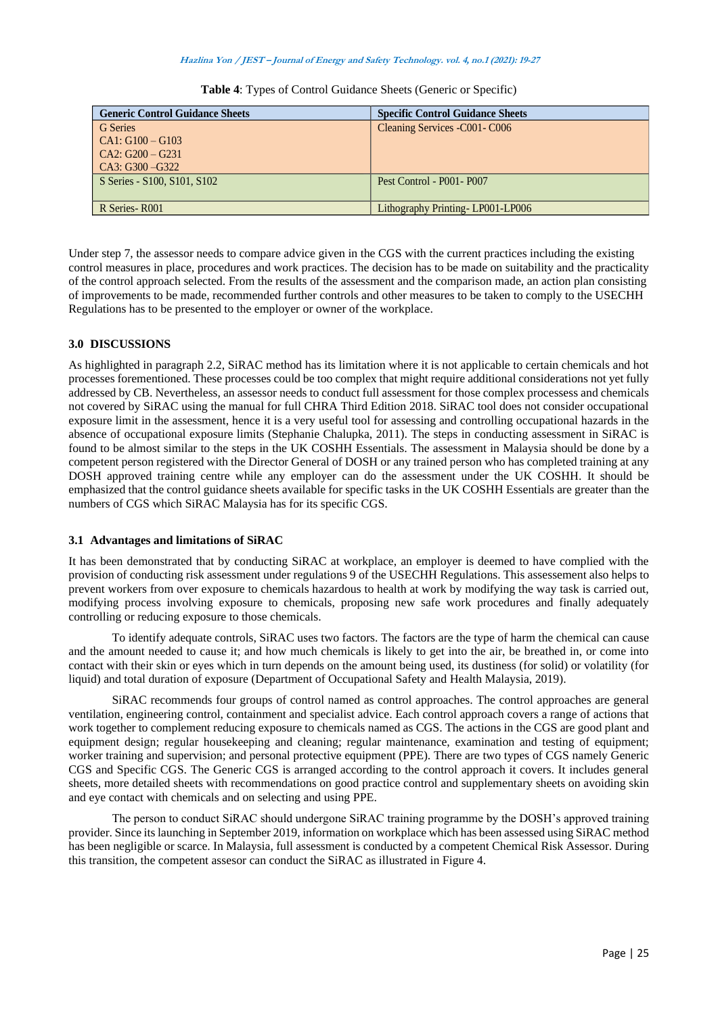| <b>Generic Control Guidance Sheets</b> | <b>Specific Control Guidance Sheets</b> |
|----------------------------------------|-----------------------------------------|
| G Series                               | Cleaning Services -C001-C006            |
| $CA1: G100 - G103$                     |                                         |
| $CA2: G200 - G231$                     |                                         |
| $CA3: G300 - G322$                     |                                         |
| S Series - S100, S101, S102            | Pest Control - P001 - P007              |
|                                        |                                         |
| R Series - R001                        | Lithography Printing-LP001-LP006        |

**Table 4**: Types of Control Guidance Sheets (Generic or Specific)

Under step 7, the assessor needs to compare advice given in the CGS with the current practices including the existing control measures in place, procedures and work practices. The decision has to be made on suitability and the practicality of the control approach selected. From the results of the assessment and the comparison made, an action plan consisting of improvements to be made, recommended further controls and other measures to be taken to comply to the USECHH Regulations has to be presented to the employer or owner of the workplace.

# **3.0 DISCUSSIONS**

As highlighted in paragraph 2.2, SiRAC method has its limitation where it is not applicable to certain chemicals and hot processes forementioned. These processes could be too complex that might require additional considerations not yet fully addressed by CB. Nevertheless, an assessor needs to conduct full assessment for those complex processess and chemicals not covered by SiRAC using the manual for full CHRA Third Edition 2018. SiRAC tool does not consider occupational exposure limit in the assessment, hence it is a very useful tool for assessing and controlling occupational hazards in the absence of occupational exposure limits (Stephanie Chalupka, 2011). The steps in conducting assessment in SiRAC is found to be almost similar to the steps in the UK COSHH Essentials. The assessment in Malaysia should be done by a competent person registered with the Director General of DOSH or any trained person who has completed training at any DOSH approved training centre while any employer can do the assessment under the UK COSHH. It should be emphasized that the control guidance sheets available for specific tasks in the UK COSHH Essentials are greater than the numbers of CGS which SiRAC Malaysia has for its specific CGS.

## **3.1 Advantages and limitations of SiRAC**

It has been demonstrated that by conducting SiRAC at workplace, an employer is deemed to have complied with the provision of conducting risk assessment under regulations 9 of the USECHH Regulations. This assessement also helps to prevent workers from over exposure to chemicals hazardous to health at work by modifying the way task is carried out, modifying process involving exposure to chemicals, proposing new safe work procedures and finally adequately controlling or reducing exposure to those chemicals.

To identify adequate controls, SiRAC uses two factors. The factors are the type of harm the chemical can cause and the amount needed to cause it; and how much chemicals is likely to get into the air, be breathed in, or come into contact with their skin or eyes which in turn depends on the amount being used, its dustiness (for solid) or volatility (for liquid) and total duration of exposure (Department of Occupational Safety and Health Malaysia, 2019).

SiRAC recommends four groups of control named as control approaches. The control approaches are general ventilation, engineering control, containment and specialist advice. Each control approach covers a range of actions that work together to complement reducing exposure to chemicals named as CGS. The actions in the CGS are good plant and equipment design; regular housekeeping and cleaning; regular maintenance, examination and testing of equipment; worker training and supervision; and personal protective equipment (PPE). There are two types of CGS namely Generic CGS and Specific CGS. The Generic CGS is arranged according to the control approach it covers. It includes general sheets, more detailed sheets with recommendations on good practice control and supplementary sheets on avoiding skin and eye contact with chemicals and on selecting and using PPE.

The person to conduct SiRAC should undergone SiRAC training programme by the DOSH's approved training provider. Since its launching in September 2019, information on workplace which has been assessed using SiRAC method has been negligible or scarce. In Malaysia, full assessment is conducted by a competent Chemical Risk Assessor. During this transition, the competent assesor can conduct the SiRAC as illustrated in Figure 4.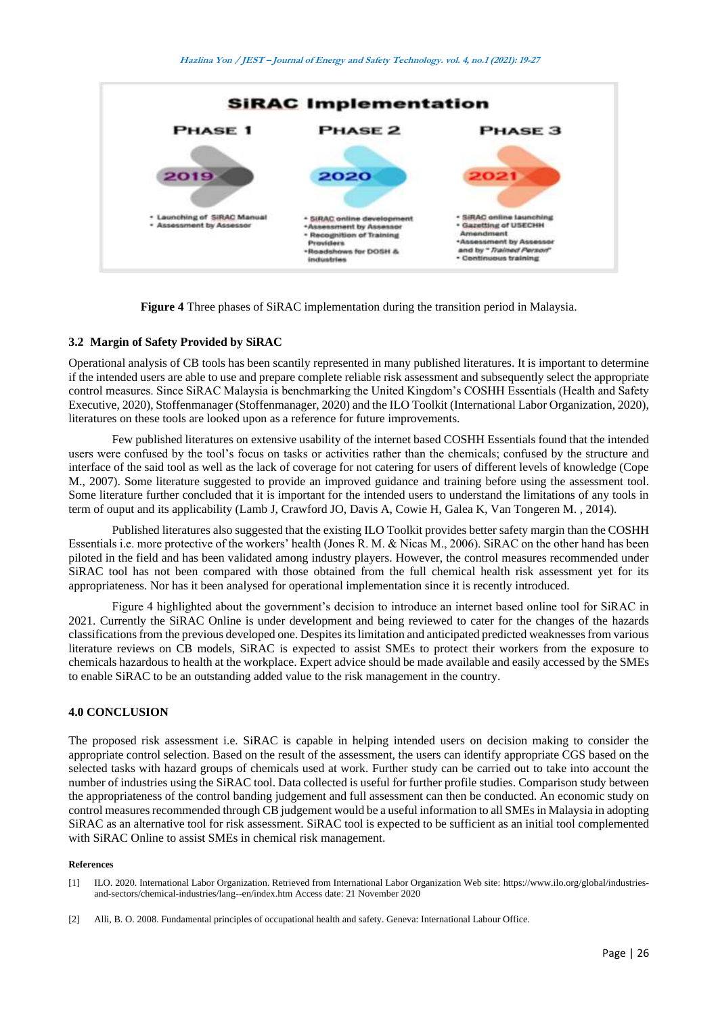

**Figure 4** Three phases of SiRAC implementation during the transition period in Malaysia.

# **3.2 Margin of Safety Provided by SiRAC**

Operational analysis of CB tools has been scantily represented in many published literatures. It is important to determine if the intended users are able to use and prepare complete reliable risk assessment and subsequently select the appropriate control measures. Since SiRAC Malaysia is benchmarking the United Kingdom's COSHH Essentials (Health and Safety Executive, 2020), Stoffenmanager (Stoffenmanager, 2020) and the ILO Toolkit (International Labor Organization, 2020), literatures on these tools are looked upon as a reference for future improvements.

Few published literatures on extensive usability of the internet based COSHH Essentials found that the intended users were confused by the tool's focus on tasks or activities rather than the chemicals; confused by the structure and interface of the said tool as well as the lack of coverage for not catering for users of different levels of knowledge (Cope M., 2007). Some literature suggested to provide an improved guidance and training before using the assessment tool. Some literature further concluded that it is important for the intended users to understand the limitations of any tools in term of ouput and its applicability (Lamb J, Crawford JO, Davis A, Cowie H, Galea K, Van Tongeren M. , 2014).

Published literatures also suggested that the existing ILO Toolkit provides better safety margin than the COSHH Essentials i.e. more protective of the workers' health (Jones R. M. & Nicas M., 2006). SiRAC on the other hand has been piloted in the field and has been validated among industry players. However, the control measures recommended under SiRAC tool has not been compared with those obtained from the full chemical health risk assessment yet for its appropriateness. Nor has it been analysed for operational implementation since it is recently introduced.

Figure 4 highlighted about the government's decision to introduce an internet based online tool for SiRAC in 2021. Currently the SiRAC Online is under development and being reviewed to cater for the changes of the hazards classifications from the previous developed one. Despites its limitation and anticipated predicted weaknesses from various literature reviews on CB models, SiRAC is expected to assist SMEs to protect their workers from the exposure to chemicals hazardous to health at the workplace. Expert advice should be made available and easily accessed by the SMEs to enable SiRAC to be an outstanding added value to the risk management in the country.

## **4.0 CONCLUSION**

The proposed risk assessment i.e. SiRAC is capable in helping intended users on decision making to consider the appropriate control selection. Based on the result of the assessment, the users can identify appropriate CGS based on the selected tasks with hazard groups of chemicals used at work. Further study can be carried out to take into account the number of industries using the SiRAC tool. Data collected is useful for further profile studies. Comparison study between the appropriateness of the control banding judgement and full assessment can then be conducted. An economic study on control measures recommended through CB judgement would be a useful information to all SMEs in Malaysia in adopting SiRAC as an alternative tool for risk assessment. SiRAC tool is expected to be sufficient as an initial tool complemented with SiRAC Online to assist SMEs in chemical risk management.

#### **References**

- [1] ILO. 2020. International Labor Organization. Retrieved from International Labor Organization Web site: https://www.ilo.org/global/industriesand-sectors/chemical-industries/lang--en/index.htm Access date: 21 November 2020
- [2] Alli, B. O. 2008. Fundamental principles of occupational health and safety. Geneva: International Labour Office.